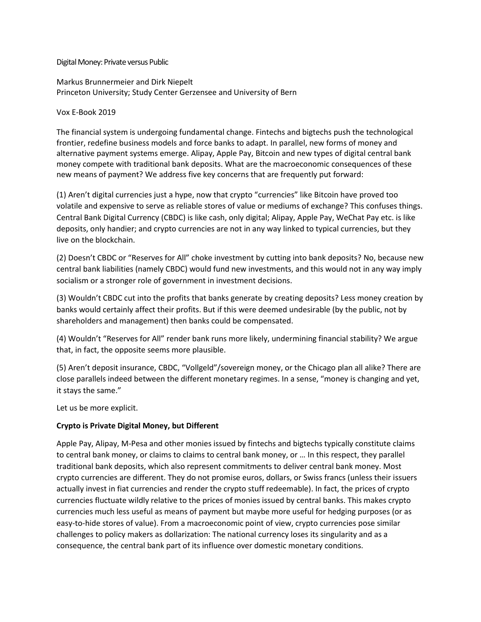Digital Money: Private versus Public

Markus Brunnermeier and Dirk Niepelt Princeton University; Study Center Gerzensee and University of Bern

#### Vox E-Book 2019

The financial system is undergoing fundamental change. Fintechs and bigtechs push the technological frontier, redefine business models and force banks to adapt. In parallel, new forms of money and alternative payment systems emerge. Alipay, Apple Pay, Bitcoin and new types of digital central bank money compete with traditional bank deposits. What are the macroeconomic consequences of these new means of payment? We address five key concerns that are frequently put forward:

(1) Aren't digital currencies just a hype, now that crypto "currencies" like Bitcoin have proved too volatile and expensive to serve as reliable stores of value or mediums of exchange? This confuses things. Central Bank Digital Currency (CBDC) is like cash, only digital; Alipay, Apple Pay, WeChat Pay etc. is like deposits, only handier; and crypto currencies are not in any way linked to typical currencies, but they live on the blockchain.

(2) Doesn't CBDC or "Reserves for All" choke investment by cutting into bank deposits? No, because new central bank liabilities (namely CBDC) would fund new investments, and this would not in any way imply socialism or a stronger role of government in investment decisions.

(3) Wouldn't CBDC cut into the profits that banks generate by creating deposits? Less money creation by banks would certainly affect their profits. But if this were deemed undesirable (by the public, not by shareholders and management) then banks could be compensated.

(4) Wouldn't "Reserves for All" render bank runs more likely, undermining financial stability? We argue that, in fact, the opposite seems more plausible.

(5) Aren't deposit insurance, CBDC, "Vollgeld"/sovereign money, or the Chicago plan all alike? There are close parallels indeed between the different monetary regimes. In a sense, "money is changing and yet, it stays the same."

Let us be more explicit.

#### **Crypto is Private Digital Money, but Different**

Apple Pay, Alipay, M-Pesa and other monies issued by fintechs and bigtechs typically constitute claims to central bank money, or claims to claims to central bank money, or … In this respect, they parallel traditional bank deposits, which also represent commitments to deliver central bank money. Most crypto currencies are different. They do not promise euros, dollars, or Swiss francs (unless their issuers actually invest in fiat currencies and render the crypto stuff redeemable). In fact, the prices of crypto currencies fluctuate wildly relative to the prices of monies issued by central banks. This makes crypto currencies much less useful as means of payment but maybe more useful for hedging purposes (or as easy-to-hide stores of value). From a macroeconomic point of view, crypto currencies pose similar challenges to policy makers as dollarization: The national currency loses its singularity and as a consequence, the central bank part of its influence over domestic monetary conditions.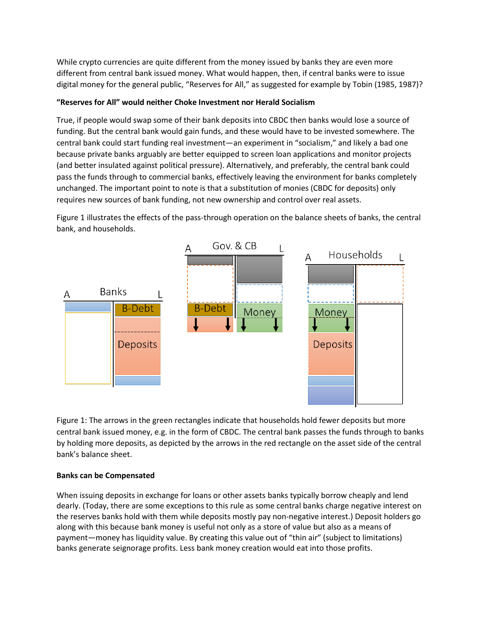While crypto currencies are quite different from the money issued by banks they are even more different from central bank issued money. What would happen, then, if central banks were to issue digital money for the general public, "Reserves for All," as suggested for example by Tobin (1985, 1987)?

## **"Reserves for All" would neither Choke Investment nor Herald Socialism**

True, if people would swap some of their bank deposits into CBDC then banks would lose a source of funding. But the central bank would gain funds, and these would have to be invested somewhere. The central bank could start funding real investment—an experiment in "socialism," and likely a bad one because private banks arguably are better equipped to screen loan applications and monitor projects (and better insulated against political pressure). Alternatively, and preferably, the central bank could pass the funds through to commercial banks, effectively leaving the environment for banks completely unchanged. The important point to note is that a substitution of monies (CBDC for deposits) only requires new sources of bank funding, not new ownership and control over real assets.

Figure 1 illustrates the effects of the pass-through operation on the balance sheets of banks, the central bank, and households.



Figure 1: The arrows in the green rectangles indicate that households hold fewer deposits but more central bank issued money, e.g. in the form of CBDC. The central bank passes the funds through to banks by holding more deposits, as depicted by the arrows in the red rectangle on the asset side of the central bank's balance sheet.

# **Banks can be Compensated**

When issuing deposits in exchange for loans or other assets banks typically borrow cheaply and lend dearly. (Today, there are some exceptions to this rule as some central banks charge negative interest on the reserves banks hold with them while deposits mostly pay non-negative interest.) Deposit holders go along with this because bank money is useful not only as a store of value but also as a means of payment—money has liquidity value. By creating this value out of "thin air" (subject to limitations) banks generate seignorage profits. Less bank money creation would eat into those profits.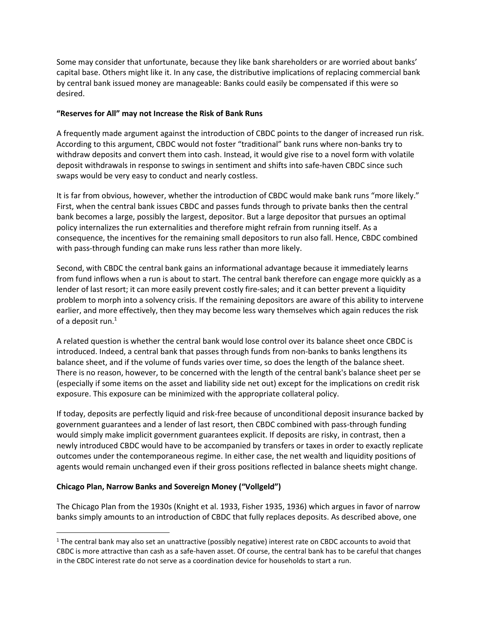Some may consider that unfortunate, because they like bank shareholders or are worried about banks' capital base. Others might like it. In any case, the distributive implications of replacing commercial bank by central bank issued money are manageable: Banks could easily be compensated if this were so desired.

### **"Reserves for All" may not Increase the Risk of Bank Runs**

A frequently made argument against the introduction of CBDC points to the danger of increased run risk. According to this argument, CBDC would not foster "traditional" bank runs where non-banks try to withdraw deposits and convert them into cash. Instead, it would give rise to a novel form with volatile deposit withdrawals in response to swings in sentiment and shifts into safe-haven CBDC since such swaps would be very easy to conduct and nearly costless.

It is far from obvious, however, whether the introduction of CBDC would make bank runs "more likely." First, when the central bank issues CBDC and passes funds through to private banks then the central bank becomes a large, possibly the largest, depositor. But a large depositor that pursues an optimal policy internalizes the run externalities and therefore might refrain from running itself. As a consequence, the incentives for the remaining small depositors to run also fall. Hence, CBDC combined with pass-through funding can make runs less rather than more likely.

Second, with CBDC the central bank gains an informational advantage because it immediately learns from fund inflows when a run is about to start. The central bank therefore can engage more quickly as a lender of last resort; it can more easily prevent costly fire-sales; and it can better prevent a liquidity problem to morph into a solvency crisis. If the remaining depositors are aware of this ability to intervene earlier, and more effectively, then they may become less wary themselves which again reduces the risk of a deposit run.<sup>1</sup>

A related question is whether the central bank would lose control over its balance sheet once CBDC is introduced. Indeed, a central bank that passes through funds from non-banks to banks lengthens its balance sheet, and if the volume of funds varies over time, so does the length of the balance sheet. There is no reason, however, to be concerned with the length of the central bank's balance sheet per se (especially if some items on the asset and liability side net out) except for the implications on credit risk exposure. This exposure can be minimized with the appropriate collateral policy.

If today, deposits are perfectly liquid and risk-free because of unconditional deposit insurance backed by government guarantees and a lender of last resort, then CBDC combined with pass-through funding would simply make implicit government guarantees explicit. If deposits are risky, in contrast, then a newly introduced CBDC would have to be accompanied by transfers or taxes in order to exactly replicate outcomes under the contemporaneous regime. In either case, the net wealth and liquidity positions of agents would remain unchanged even if their gross positions reflected in balance sheets might change.

# **Chicago Plan, Narrow Banks and Sovereign Money ("Vollgeld")**

 $\overline{a}$ 

The Chicago Plan from the 1930s (Knight et al. 1933, Fisher 1935, 1936) which argues in favor of narrow banks simply amounts to an introduction of CBDC that fully replaces deposits. As described above, one

<sup>&</sup>lt;sup>1</sup> The central bank may also set an unattractive (possibly negative) interest rate on CBDC accounts to avoid that CBDC is more attractive than cash as a safe-haven asset. Of course, the central bank has to be careful that changes in the CBDC interest rate do not serve as a coordination device for households to start a run.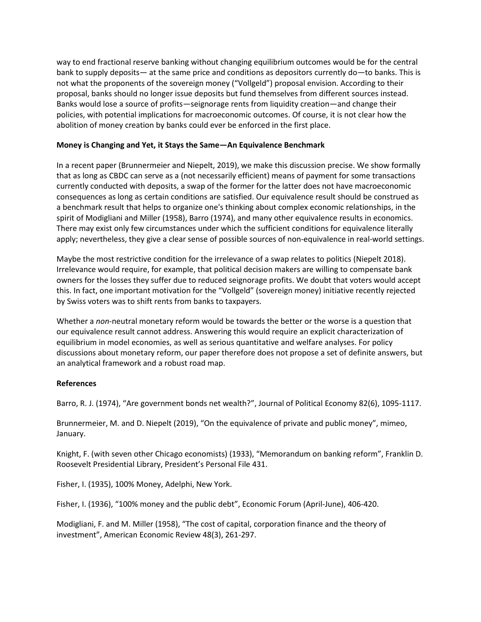way to end fractional reserve banking without changing equilibrium outcomes would be for the central bank to supply deposits— at the same price and conditions as depositors currently do—to banks. This is not what the proponents of the sovereign money ("Vollgeld") proposal envision. According to their proposal, banks should no longer issue deposits but fund themselves from different sources instead. Banks would lose a source of profits—seignorage rents from liquidity creation—and change their policies, with potential implications for macroeconomic outcomes. Of course, it is not clear how the abolition of money creation by banks could ever be enforced in the first place.

### **Money is Changing and Yet, it Stays the Same—An Equivalence Benchmark**

In a recent paper (Brunnermeier and Niepelt, 2019), we make this discussion precise. We show formally that as long as CBDC can serve as a (not necessarily efficient) means of payment for some transactions currently conducted with deposits, a swap of the former for the latter does not have macroeconomic consequences as long as certain conditions are satisfied. Our equivalence result should be construed as a benchmark result that helps to organize one's thinking about complex economic relationships, in the spirit of Modigliani and Miller (1958), Barro (1974), and many other equivalence results in economics. There may exist only few circumstances under which the sufficient conditions for equivalence literally apply; nevertheless, they give a clear sense of possible sources of non-equivalence in real-world settings.

Maybe the most restrictive condition for the irrelevance of a swap relates to politics (Niepelt 2018). Irrelevance would require, for example, that political decision makers are willing to compensate bank owners for the losses they suffer due to reduced seignorage profits. We doubt that voters would accept this. In fact, one important motivation for the "Vollgeld" (sovereign money) initiative recently rejected by Swiss voters was to shift rents from banks to taxpayers.

Whether a *non*-neutral monetary reform would be towards the better or the worse is a question that our equivalence result cannot address. Answering this would require an explicit characterization of equilibrium in model economies, as well as serious quantitative and welfare analyses. For policy discussions about monetary reform, our paper therefore does not propose a set of definite answers, but an analytical framework and a robust road map.

#### **References**

Barro, R. J. (1974), "Are government bonds net wealth?", Journal of Political Economy 82(6), 1095-1117.

Brunnermeier, M. and D. Niepelt (2019), "On the equivalence of private and public money", mimeo, January.

Knight, F. (with seven other Chicago economists) (1933), "Memorandum on banking reform", Franklin D. Roosevelt Presidential Library, President's Personal File 431.

Fisher, I. (1935), 100% Money, Adelphi, New York.

Fisher, I. (1936), "100% money and the public debt", Economic Forum (April-June), 406-420.

Modigliani, F. and M. Miller (1958), "The cost of capital, corporation finance and the theory of investment", American Economic Review 48(3), 261-297.